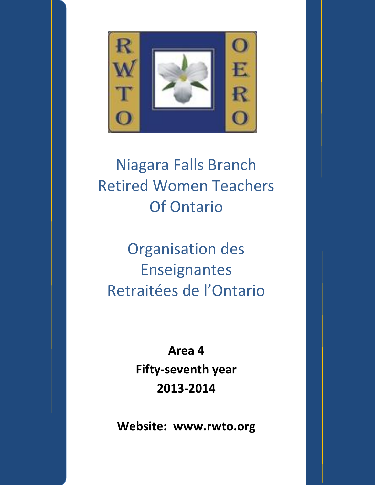

# Niagara Falls Branch Retired Women Teachers Of Ontario

Organisation des Enseignantes Retraitées de l'Ontario

> **Area 4 Fifty-seventh year 2013-2014**

**Website: www.rwto.org**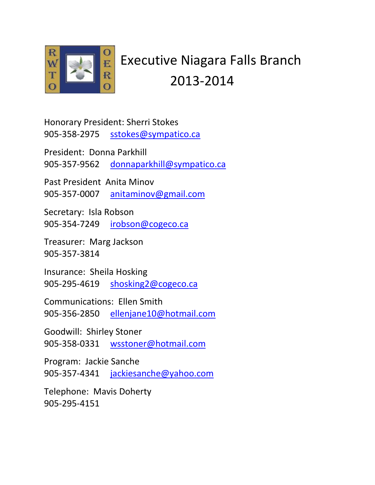

## Executive Niagara Falls Branch 2013-2014

Honorary President: Sherri Stokes 905-358-2975 [sstokes@sympatico.ca](mailto:sstokes@sympatico.ca)

President: Donna Parkhill

905-357-9562 [donnaparkhill@sympatico.ca](mailto:donnaparkhill@sympatico.ca)

Past President Anita Minov 905-357-0007 [anitaminov@gmail.com](mailto:anitaminov@gmail.com)

Secretary: Isla Robson 905-354-7249 [irobson@cogeco.ca](mailto:irobson@cogeco.ca)

Treasurer: Marg Jackson 905-357-3814

Insurance: Sheila Hosking 905-295-4619 [shosking2@cogeco.ca](mailto:shosking2@cogeco.ca)

Communications: Ellen Smith 905-356-2850 [ellenjane10@hotmail.com](mailto:ellenjane10@hotmail.com)

Goodwill: Shirley Stoner 905-358-0331 [wsstoner@hotmail.com](mailto:wsstoner@hotmail.com)

Program: Jackie Sanche 905-357-4341 [jackiesanche@yahoo.com](mailto:jackiesanche@yahoo.com)

Telephone: Mavis Doherty 905-295-4151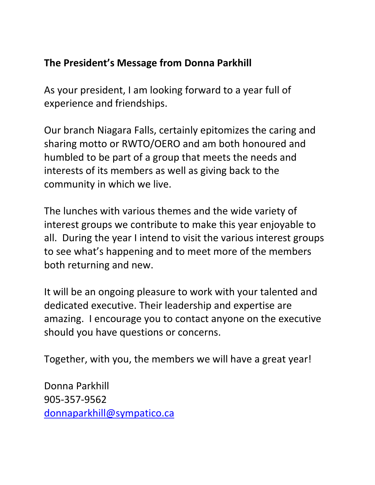### **The President's Message from Donna Parkhill**

As your president, I am looking forward to a year full of experience and friendships.

Our branch Niagara Falls, certainly epitomizes the caring and sharing motto or RWTO/OERO and am both honoured and humbled to be part of a group that meets the needs and interests of its members as well as giving back to the community in which we live.

The lunches with various themes and the wide variety of interest groups we contribute to make this year enjoyable to all. During the year I intend to visit the various interest groups to see what's happening and to meet more of the members both returning and new.

It will be an ongoing pleasure to work with your talented and dedicated executive. Their leadership and expertise are amazing. I encourage you to contact anyone on the executive should you have questions or concerns.

Together, with you, the members we will have a great year!

Donna Parkhill 905-357-9562 [donnaparkhill@sympatico.ca](mailto:donnaparkhill@sympatico.ca)